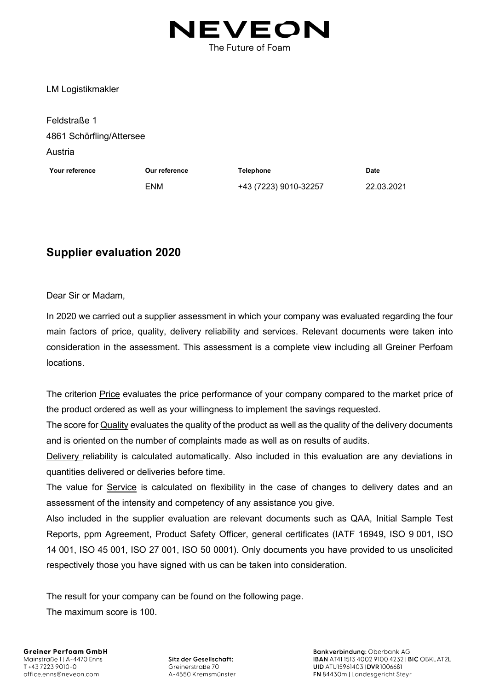

LM Logistikmakler

| Feldstraße 1             |               |                       |             |
|--------------------------|---------------|-----------------------|-------------|
| 4861 Schörfling/Attersee |               |                       |             |
| Austria                  |               |                       |             |
| Your reference           | Our reference | <b>Telephone</b>      | <b>Date</b> |
|                          | <b>ENM</b>    | +43 (7223) 9010-32257 | 22.03.2021  |
|                          |               |                       |             |

## **Supplier evaluation 2020**

Dear Sir or Madam,

In 2020 we carried out a supplier assessment in which your company was evaluated regarding the four main factors of price, quality, delivery reliability and services. Relevant documents were taken into consideration in the assessment. This assessment is a complete view including all Greiner Perfoam locations.

The criterion Price evaluates the price performance of your company compared to the market price of the product ordered as well as your willingness to implement the savings requested.

The score for Quality evaluates the quality of the product as well as the quality of the delivery documents and is oriented on the number of complaints made as well as on results of audits.

Delivery reliability is calculated automatically. Also included in this evaluation are any deviations in quantities delivered or deliveries before time.

The value for Service is calculated on flexibility in the case of changes to delivery dates and an assessment of the intensity and competency of any assistance you give.

Also included in the supplier evaluation are relevant documents such as QAA, Initial Sample Test Reports, ppm Agreement, Product Safety Officer, general certificates (IATF 16949, ISO 9 001, ISO 14 001, ISO 45 001, ISO 27 001, ISO 50 0001). Only documents you have provided to us unsolicited respectively those you have signed with us can be taken into consideration.

The result for your company can be found on the following page.

The maximum score is 100.